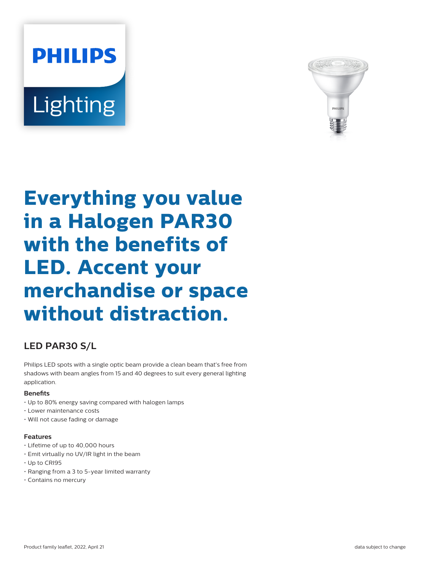# **PHILIPS Lighting**



## **Everything you value in a Halogen PAR30 with the benefits of LED. Accent your merchandise or space without distraction.**

### **LED PAR30 S/L**

Philips LED spots with a single optic beam provide a clean beam that's free from shadows with beam angles from 15 and 40 degrees to suit every general lighting application.

#### **Benets**

- Up to 80% energy saving compared with halogen lamps
- Lower maintenance costs
- Will not cause fading or damage

#### **Features**

- Lifetime of up to 40,000 hours
- Emit virtually no UV/IR light in the beam
- Up to CRI95
- Ranging from a 3 to 5-year limited warranty
- Contains no mercury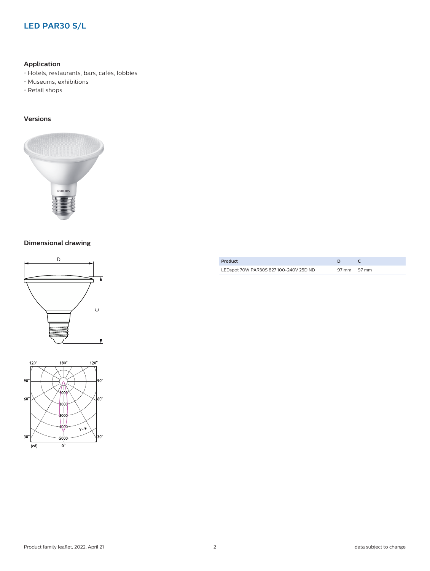#### **LED PAR30 S/L**

#### **Application**

- Hotels, restaurants, bars, cafés, lobbies
- Museums, exhibitions
- Retail shops

#### **Versions**



#### **Dimensional drawing**





| Product                                |             |  |
|----------------------------------------|-------------|--|
| LEDspot 70W PAR30S 827 100-240V 25D ND | 97 mm 97 mm |  |